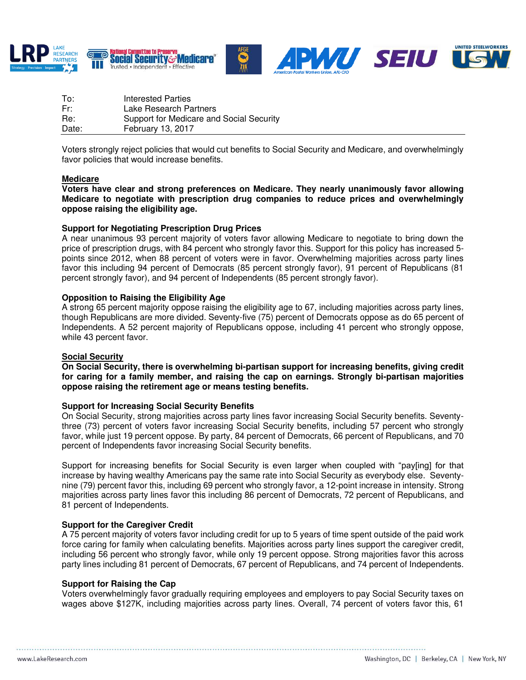





| To:   | Interested Parties                       |
|-------|------------------------------------------|
| Fr:   | Lake Research Partners                   |
| Re:   | Support for Medicare and Social Security |
| Date: | February 13, 2017                        |

Voters strongly reject policies that would cut benefits to Social Security and Medicare, and overwhelmingly favor policies that would increase benefits.

## **Medicare**

**Voters have clear and strong preferences on Medicare. They nearly unanimously favor allowing Medicare to negotiate with prescription drug companies to reduce prices and overwhelmingly oppose raising the eligibility age.** 

#### **Support for Negotiating Prescription Drug Prices**

A near unanimous 93 percent majority of voters favor allowing Medicare to negotiate to bring down the price of prescription drugs, with 84 percent who strongly favor this. Support for this policy has increased 5 points since 2012, when 88 percent of voters were in favor. Overwhelming majorities across party lines favor this including 94 percent of Democrats (85 percent strongly favor), 91 percent of Republicans (81 percent strongly favor), and 94 percent of Independents (85 percent strongly favor).

#### **Opposition to Raising the Eligibility Age**

A strong 65 percent majority oppose raising the eligibility age to 67, including majorities across party lines, though Republicans are more divided. Seventy-five (75) percent of Democrats oppose as do 65 percent of Independents. A 52 percent majority of Republicans oppose, including 41 percent who strongly oppose, while 43 percent favor.

## **Social Security**

**On Social Security, there is overwhelming bi-partisan support for increasing benefits, giving credit for caring for a family member, and raising the cap on earnings. Strongly bi-partisan majorities oppose raising the retirement age or means testing benefits.** 

## **Support for Increasing Social Security Benefits**

On Social Security, strong majorities across party lines favor increasing Social Security benefits. Seventythree (73) percent of voters favor increasing Social Security benefits, including 57 percent who strongly favor, while just 19 percent oppose. By party, 84 percent of Democrats, 66 percent of Republicans, and 70 percent of Independents favor increasing Social Security benefits.

Support for increasing benefits for Social Security is even larger when coupled with "pay[ing] for that increase by having wealthy Americans pay the same rate into Social Security as everybody else. Seventynine (79) percent favor this, including 69 percent who strongly favor, a 12-point increase in intensity. Strong majorities across party lines favor this including 86 percent of Democrats, 72 percent of Republicans, and 81 percent of Independents.

## **Support for the Caregiver Credit**

A 75 percent majority of voters favor including credit for up to 5 years of time spent outside of the paid work force caring for family when calculating benefits. Majorities across party lines support the caregiver credit, including 56 percent who strongly favor, while only 19 percent oppose. Strong majorities favor this across party lines including 81 percent of Democrats, 67 percent of Republicans, and 74 percent of Independents.

#### **Support for Raising the Cap**

Voters overwhelmingly favor gradually requiring employees and employers to pay Social Security taxes on wages above \$127K, including majorities across party lines. Overall, 74 percent of voters favor this, 61